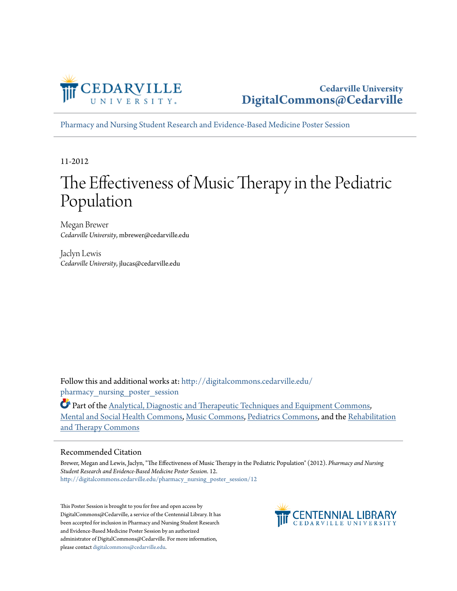

[Pharmacy and Nursing Student Research and Evidence-Based Medicine Poster Session](http://digitalcommons.cedarville.edu/pharmacy_nursing_poster_session?utm_source=digitalcommons.cedarville.edu%2Fpharmacy_nursing_poster_session%2F12&utm_medium=PDF&utm_campaign=PDFCoverPages)

11-2012

#### The Effectiveness of Music Therapy in the Pediatric Population

Megan Brewer *Cedarville University*, mbrewer@cedarville.edu

Jaclyn Lewis *Cedarville University*, jlucas@cedarville.edu

Follow this and additional works at: [http://digitalcommons.cedarville.edu/](http://digitalcommons.cedarville.edu/pharmacy_nursing_poster_session?utm_source=digitalcommons.cedarville.edu%2Fpharmacy_nursing_poster_session%2F12&utm_medium=PDF&utm_campaign=PDFCoverPages) pharmacy nursing poster session

Part of the [Analytical, Diagnostic and Therapeutic Techniques and Equipment Commons,](http://network.bepress.com/hgg/discipline/899?utm_source=digitalcommons.cedarville.edu%2Fpharmacy_nursing_poster_session%2F12&utm_medium=PDF&utm_campaign=PDFCoverPages) [Mental and Social Health Commons](http://network.bepress.com/hgg/discipline/709?utm_source=digitalcommons.cedarville.edu%2Fpharmacy_nursing_poster_session%2F12&utm_medium=PDF&utm_campaign=PDFCoverPages), [Music Commons,](http://network.bepress.com/hgg/discipline/518?utm_source=digitalcommons.cedarville.edu%2Fpharmacy_nursing_poster_session%2F12&utm_medium=PDF&utm_campaign=PDFCoverPages) [Pediatrics Commons,](http://network.bepress.com/hgg/discipline/700?utm_source=digitalcommons.cedarville.edu%2Fpharmacy_nursing_poster_session%2F12&utm_medium=PDF&utm_campaign=PDFCoverPages) and the [Rehabilitation](http://network.bepress.com/hgg/discipline/749?utm_source=digitalcommons.cedarville.edu%2Fpharmacy_nursing_poster_session%2F12&utm_medium=PDF&utm_campaign=PDFCoverPages) [and Therapy Commons](http://network.bepress.com/hgg/discipline/749?utm_source=digitalcommons.cedarville.edu%2Fpharmacy_nursing_poster_session%2F12&utm_medium=PDF&utm_campaign=PDFCoverPages)

#### Recommended Citation

Brewer, Megan and Lewis, Jaclyn, "The Effectiveness of Music Therapy in the Pediatric Population" (2012). *Pharmacy and Nursing Student Research and Evidence-Based Medicine Poster Session*. 12. [http://digitalcommons.cedarville.edu/pharmacy\\_nursing\\_poster\\_session/12](http://digitalcommons.cedarville.edu/pharmacy_nursing_poster_session/12?utm_source=digitalcommons.cedarville.edu%2Fpharmacy_nursing_poster_session%2F12&utm_medium=PDF&utm_campaign=PDFCoverPages)

This Poster Session is brought to you for free and open access by DigitalCommons@Cedarville, a service of the Centennial Library. It has been accepted for inclusion in Pharmacy and Nursing Student Research and Evidence-Based Medicine Poster Session by an authorized administrator of DigitalCommons@Cedarville. For more information, please contact [digitalcommons@cedarville.edu.](mailto:digitalcommons@cedarville.edu)